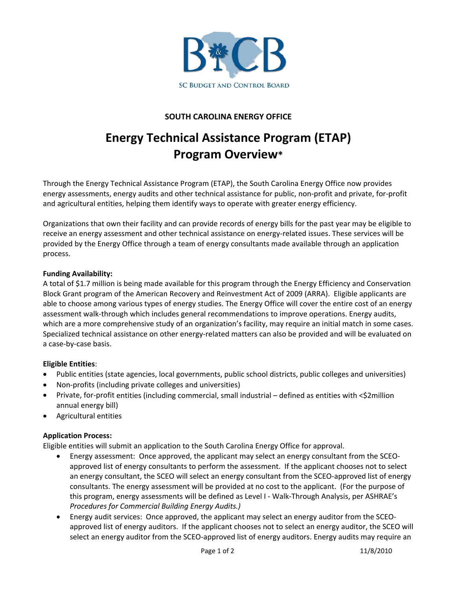

## **SOUTH CAROLINA ENERGY OFFICE**

# **Energy Technical Assistance Program (ETAP) Program Overview\***

Through the Energy Technical Assistance Program (ETAP), the South Carolina Energy Office now provides energy assessments, energy audits and other technical assistance for public, non‐profit and private, for‐profit and agricultural entities, helping them identify ways to operate with greater energy efficiency.

Organizations that own their facility and can provide records of energy bills for the past year may be eligible to receive an energy assessment and other technical assistance on energy-related issues. These services will be provided by the Energy Office through a team of energy consultants made available through an application process.

#### **Funding Availability:**

A total of \$1.7 million is being made available for this program through the Energy Efficiency and Conservation Block Grant program of the American Recovery and Reinvestment Act of 2009 (ARRA). Eligible applicants are able to choose among various types of energy studies. The Energy Office will cover the entire cost of an energy assessment walk‐through which includes general recommendations to improve operations. Energy audits, which are a more comprehensive study of an organization's facility, may require an initial match in some cases. Specialized technical assistance on other energy-related matters can also be provided and will be evaluated on a case‐by‐case basis.

#### **Eligible Entities**:

- Public entities (state agencies, local governments, public school districts, public colleges and universities)
- Non-profits (including private colleges and universities)
- Private, for-profit entities (including commercial, small industrial defined as entities with <\$2million annual energy bill)
- Agricultural entities

#### **Application Process:**

Eligible entities will submit an application to the South Carolina Energy Office for approval.

- Energy assessment: Once approved, the applicant may select an energy consultant from the SCEO‐ approved list of energy consultants to perform the assessment. If the applicant chooses not to select an energy consultant, the SCEO will select an energy consultant from the SCEO-approved list of energy consultants. The energy assessment will be provided at no cost to the applicant. (For the purpose of this program, energy assessments will be defined as Level I ‐ Walk‐Through Analysis, per ASHRAE's *Procedures for Commercial Building Energy Audits.)*
- Energy audit services: Once approved, the applicant may select an energy auditor from the SCEO‐ approved list of energy auditors. If the applicant chooses not to select an energy auditor, the SCEO will select an energy auditor from the SCEO-approved list of energy auditors. Energy audits may require an